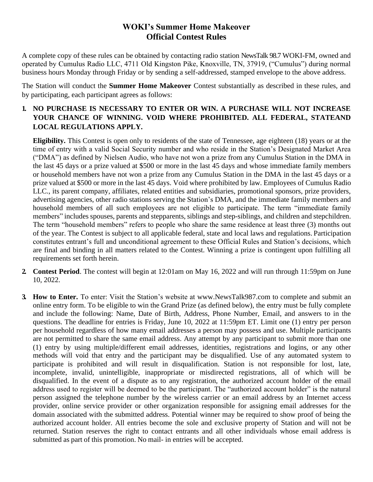## **WOKI's Summer Home Makeover Official Contest Rules**

A complete copy of these rules can be obtained by contacting radio station NewsTalk 98.7 WOKI-FM, owned and operated by Cumulus Radio LLC, 4711 Old Kingston Pike, Knoxville, TN, 37919, ("Cumulus") during normal business hours Monday through Friday or by sending a self-addressed, stamped envelope to the above address.

The Station will conduct the **Summer Home Makeover** Contest substantially as described in these rules, and by participating, each participant agrees as follows:

## **1. NO PURCHASE IS NECESSARY TO ENTER OR WIN. A PURCHASE WILL NOT INCREASE YOUR CHANCE OF WINNING. VOID WHERE PROHIBITED. ALL FEDERAL, STATEAND LOCAL REGULATIONS APPLY.**

**Eligibility.** This Contest is open only to residents of the state of Tennessee, age eighteen (18) years or at the time of entry with a valid Social Security number and who reside in the Station's Designated Market Area ("DMA") as defined by Nielsen Audio, who have not won a prize from any Cumulus Station in the DMA in the last 45 days or a prize valued at \$500 or more in the last 45 days and whose immediate family members or household members have not won a prize from any Cumulus Station in the DMA in the last 45 days or a prize valued at \$500 or more in the last 45 days. Void where prohibited by law. Employees of Cumulus Radio LLC., its parent company, affiliates, related entities and subsidiaries, promotional sponsors, prize providers, advertising agencies, other radio stations serving the Station's DMA, and the immediate family members and household members of all such employees are not eligible to participate. The term "immediate family members" includes spouses, parents and stepparents, siblings and step-siblings, and children and stepchildren. The term "household members" refers to people who share the same residence at least three (3) months out of the year. The Contest is subject to all applicable federal, state and local laws and regulations. Participation constitutes entrant's full and unconditional agreement to these Official Rules and Station's decisions, which are final and binding in all matters related to the Contest. Winning a prize is contingent upon fulfilling all requirements set forth herein.

- **2. Contest Period**. The contest will begin at 12:01am on May 16, 2022 and will run through 11:59pm on June 10, 2022.
- **3. How to Enter.** To enter: Visit the Station's website at [www.NewsTalk987.com t](http://www.newstalk987.com/)o complete and submit an online entry form. To be eligible to win the Grand Prize (as defined below), the entry must be fully complete and include the following: Name, Date of Birth, Address, Phone Number, Email, and answers to in the questions. The deadline for entries is Friday, June 10, 2022 at 11:59pm ET. Limit one (1) entry per person per household regardless of how many email addresses a person may possess and use. Multiple participants are not permitted to share the same email address. Any attempt by any participant to submit more than one (1) entry by using multiple/different email addresses, identities, registrations and logins, or any other methods will void that entry and the participant may be disqualified. Use of any automated system to participate is prohibited and will result in disqualification. Station is not responsible for lost, late, incomplete, invalid, unintelligible, inappropriate or misdirected registrations, all of which will be disqualified. In the event of a dispute as to any registration, the authorized account holder of the email address used to register will be deemed to be the participant. The "authorized account holder" is the natural person assigned the telephone number by the wireless carrier or an email address by an Internet access provider, online service provider or other organization responsible for assigning email addresses for the domain associated with the submitted address. Potential winner may be required to show proof of being the authorized account holder. All entries become the sole and exclusive property of Station and will not be returned. Station reserves the right to contact entrants and all other individuals whose email address is submitted as part of this promotion. No mail- in entries will be accepted.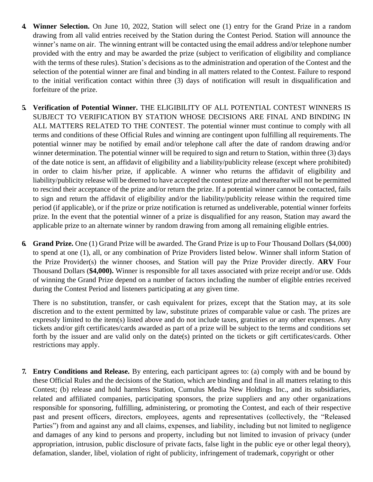- **4. Winner Selection.** On June 10, 2022, Station will select one (1) entry for the Grand Prize in a random drawing from all valid entries received by the Station during the Contest Period. Station will announce the winner's name on air. The winning entrant will be contacted using the email address and/or telephone number provided with the entry and may be awarded the prize (subject to verification of eligibility and compliance with the terms of these rules). Station's decisions as to the administration and operation of the Contest and the selection of the potential winner are final and binding in all matters related to the Contest. Failure to respond to the initial verification contact within three (3) days of notification will result in disqualification and forfeiture of the prize.
- **5. Verification of Potential Winner.** THE ELIGIBILITY OF ALL POTENTIAL CONTEST WINNERS IS SUBJECT TO VERIFICATION BY STATION WHOSE DECISIONS ARE FINAL AND BINDING IN ALL MATTERS RELATED TO THE CONTEST. The potential winner must continue to comply with all terms and conditions of these Official Rules and winning are contingent upon fulfilling all requirements. The potential winner may be notified by email and/or telephone call after the date of random drawing and/or winner determination. The potential winner will be required to sign and return to Station, within three (3) days of the date notice is sent, an affidavit of eligibility and a liability/publicity release (except where prohibited) in order to claim his/her prize, if applicable. A winner who returns the affidavit of eligibility and liability/publicity release will be deemed to have accepted the contest prize and thereafter will not be permitted to rescind their acceptance of the prize and/or return the prize. If a potential winner cannot be contacted, fails to sign and return the affidavit of eligibility and/or the liability/publicity release within the required time period (if applicable), or if the prize or prize notification is returned as undeliverable, potential winner forfeits prize. In the event that the potential winner of a prize is disqualified for any reason, Station may award the applicable prize to an alternate winner by random drawing from among all remaining eligible entries.
- **6. Grand Prize.** One (1) Grand Prize will be awarded. The Grand Prize is up to Four Thousand Dollars (\$4,000) to spend at one (1), all, or any combination of Prize Providers listed below. Winner shall inform Station of the Prize Provider(s) the winner chooses, and Station will pay the Prize Provider directly. **ARV** Four Thousand Dollars (**\$4,000).** Winner is responsible for all taxes associated with prize receipt and/or use. Odds of winning the Grand Prize depend on a number of factors including the number of eligible entries received during the Contest Period and listeners participating at any given time.

There is no substitution, transfer, or cash equivalent for prizes, except that the Station may, at its sole discretion and to the extent permitted by law, substitute prizes of comparable value or cash. The prizes are expressly limited to the item(s) listed above and do not include taxes, gratuities or any other expenses. Any tickets and/or gift certificates/cards awarded as part of a prize will be subject to the terms and conditions set forth by the issuer and are valid only on the date(s) printed on the tickets or gift certificates/cards. Other restrictions may apply.

**7. Entry Conditions and Release.** By entering, each participant agrees to: (a) comply with and be bound by these Official Rules and the decisions of the Station, which are binding and final in all matters relating to this Contest; (b) release and hold harmless Station, Cumulus Media New Holdings Inc., and its subsidiaries, related and affiliated companies, participating sponsors, the prize suppliers and any other organizations responsible for sponsoring, fulfilling, administering, or promoting the Contest, and each of their respective past and present officers, directors, employees, agents and representatives (collectively, the "Released Parties") from and against any and all claims, expenses, and liability, including but not limited to negligence and damages of any kind to persons and property, including but not limited to invasion of privacy (under appropriation, intrusion, public disclosure of private facts, false light in the public eye or other legal theory), defamation, slander, libel, violation of right of publicity, infringement of trademark, copyright or other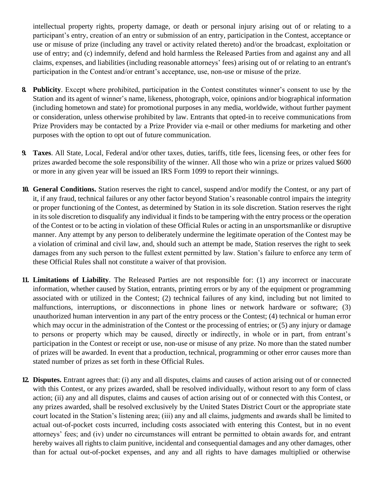intellectual property rights, property damage, or death or personal injury arising out of or relating to a participant's entry, creation of an entry or submission of an entry, participation in the Contest, acceptance or use or misuse of prize (including any travel or activity related thereto) and/or the broadcast, exploitation or use of entry; and (c) indemnify, defend and hold harmless the Released Parties from and against any and all claims, expenses, and liabilities (including reasonable attorneys' fees) arising out of or relating to an entrant's participation in the Contest and/or entrant's acceptance, use, non-use or misuse of the prize.

- **8. Publicity**. Except where prohibited, participation in the Contest constitutes winner's consent to use by the Station and its agent of winner's name, likeness, photograph, voice, opinions and/or biographical information (including hometown and state) for promotional purposes in any media, worldwide, without further payment or consideration, unless otherwise prohibited by law. Entrants that opted-in to receive communications from Prize Providers may be contacted by a Prize Provider via e-mail or other mediums for marketing and other purposes with the option to opt out of future communication.
- **9. Taxes**. All State, Local, Federal and/or other taxes, duties, tariffs, title fees, licensing fees, or other fees for prizes awarded become the sole responsibility of the winner. All those who win a prize or prizes valued \$600 or more in any given year will be issued an IRS Form 1099 to report their winnings.
- **10. General Conditions.** Station reserves the right to cancel, suspend and/or modify the Contest, or any part of it, if any fraud, technical failures or any other factor beyond Station's reasonable control impairs the integrity or proper functioning of the Contest, as determined by Station in its sole discretion. Station reserves the right in itssole discretion to disqualify any individual it finds to be tampering with the entry process or the operation of the Contest or to be acting in violation of these Official Rules or acting in an unsportsmanlike or disruptive manner. Any attempt by any person to deliberately undermine the legitimate operation of the Contest may be a violation of criminal and civil law, and, should such an attempt be made, Station reserves the right to seek damages from any such person to the fullest extent permitted by law. Station's failure to enforce any term of these Official Rules shall not constitute a waiver of that provision.
- **11. Limitations of Liability**. The Released Parties are not responsible for: (1) any incorrect or inaccurate information, whether caused by Station, entrants, printing errors or by any of the equipment or programming associated with or utilized in the Contest; (2) technical failures of any kind, including but not limited to malfunctions, interruptions, or disconnections in phone lines or network hardware or software; (3) unauthorized human intervention in any part of the entry process or the Contest; (4) technical or human error which may occur in the administration of the Contest or the processing of entries; or (5) any injury or damage to persons or property which may be caused, directly or indirectly, in whole or in part, from entrant's participation in the Contest or receipt or use, non-use or misuse of any prize. No more than the stated number of prizes will be awarded. In event that a production, technical, programming or other error causes more than stated number of prizes as set forth in these Official Rules.
- **12. Disputes.** Entrant agrees that: (i) any and all disputes, claims and causes of action arising out of or connected with this Contest, or any prizes awarded, shall be resolved individually, without resort to any form of class action; (ii) any and all disputes, claims and causes of action arising out of or connected with this Contest, or any prizes awarded, shall be resolved exclusively by the United States District Court or the appropriate state court located in the Station's listening area; (iii) any and all claims, judgments and awards shall be limited to actual out-of-pocket costs incurred, including costs associated with entering this Contest, but in no event attorneys' fees; and (iv) under no circumstances will entrant be permitted to obtain awards for, and entrant hereby waives all rights to claim punitive, incidental and consequential damages and any other damages, other than for actual out-of-pocket expenses, and any and all rights to have damages multiplied or otherwise